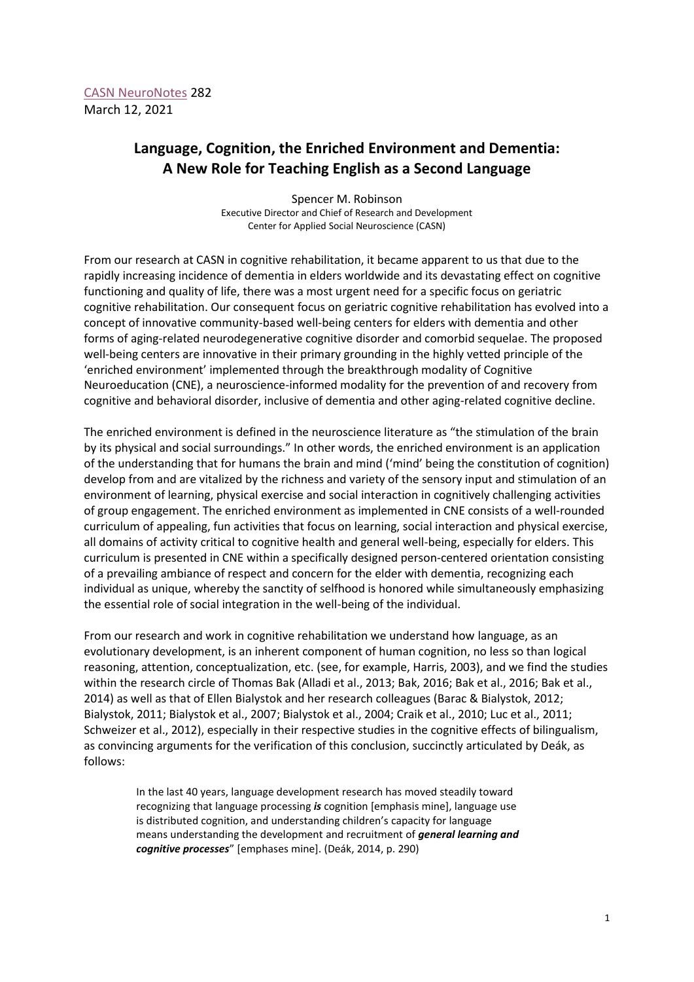## **Language, Cognition, the Enriched Environment and Dementia: A New Role for Teaching English as a Second Language**

Spencer M. Robinson Executive Director and Chief of Research and Development Center for Applied Social Neuroscience (CASN)

From our research at CASN in cognitive rehabilitation, it became apparent to us that due to the rapidly increasing incidence of dementia in elders worldwide and its devastating effect on cognitive functioning and quality of life, there was a most urgent need for a specific focus on geriatric cognitive rehabilitation. Our consequent focus on geriatric cognitive rehabilitation has evolved into a concept of innovative community-based well-being centers for elders with dementia and other forms of aging-related neurodegenerative cognitive disorder and comorbid sequelae. The proposed well-being centers are innovative in their primary grounding in the highly vetted principle of the 'enriched environment' implemented through the breakthrough modality of Cognitive Neuroeducation (CNE), a neuroscience-informed modality for the prevention of and recovery from cognitive and behavioral disorder, inclusive of dementia and other aging-related cognitive decline.

The enriched environment is defined in the neuroscience literature as "the stimulation of the brain by its physical and social surroundings." In other words, the enriched environment is an application of the understanding that for humans the brain and mind ('mind' being the constitution of cognition) develop from and are vitalized by the richness and variety of the sensory input and stimulation of an environment of learning, physical exercise and social interaction in cognitively challenging activities of group engagement. The enriched environment as implemented in CNE consists of a well-rounded curriculum of appealing, fun activities that focus on learning, social interaction and physical exercise, all domains of activity critical to cognitive health and general well-being, especially for elders. This curriculum is presented in CNE within a specifically designed person-centered orientation consisting of a prevailing ambiance of respect and concern for the elder with dementia, recognizing each individual as unique, whereby the sanctity of selfhood is honored while simultaneously emphasizing the essential role of social integration in the well-being of the individual.

From our research and work in cognitive rehabilitation we understand how language, as an evolutionary development, is an inherent component of human cognition, no less so than logical reasoning, attention, conceptualization, etc. (see, for example, Harris, 2003), and we find the studies within the research circle of Thomas Bak (Alladi et al., 2013; Bak, 2016; Bak et al., 2016; Bak et al., 2014) as well as that of Ellen Bialystok and her research colleagues (Barac & Bialystok, 2012; Bialystok, 2011; Bialystok et al., 2007; Bialystok et al., 2004; Craik et al., 2010; Luc et al., 2011; Schweizer et al., 2012), especially in their respective studies in the cognitive effects of bilingualism, as convincing arguments for the verification of this conclusion, succinctly articulated by Deák, as follows:

In the last 40 years, language development research has moved steadily toward recognizing that language processing *is* cognition [emphasis mine], language use is distributed cognition, and understanding children's capacity for language means understanding the development and recruitment of *general learning and cognitive processes*" [emphases mine]. (Deák, 2014, p. 290)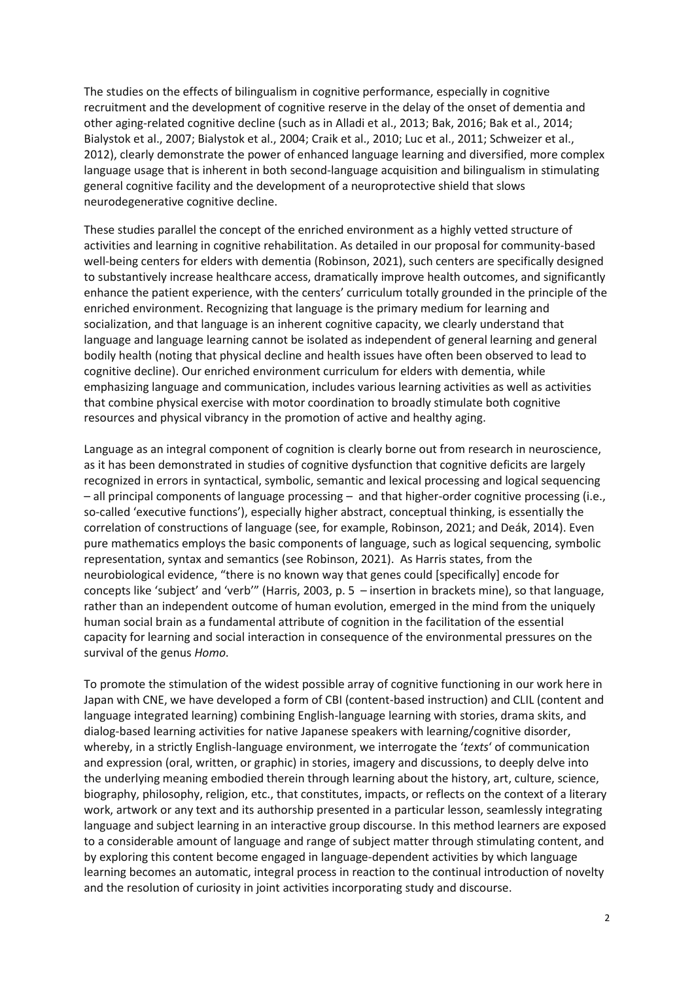The studies on the effects of bilingualism in cognitive performance, especially in cognitive recruitment and the development of cognitive reserve in the delay of the onset of dementia and other aging-related cognitive decline (such as in Alladi et al., 2013; Bak, 2016; Bak et al., 2014; Bialystok et al., 2007; Bialystok et al., 2004; Craik et al., 2010; Luc et al., 2011; Schweizer et al., 2012), clearly demonstrate the power of enhanced language learning and diversified, more complex language usage that is inherent in both second-language acquisition and bilingualism in stimulating general cognitive facility and the development of a neuroprotective shield that slows neurodegenerative cognitive decline.

These studies parallel the concept of the enriched environment as a highly vetted structure of activities and learning in cognitive rehabilitation. As detailed in our proposal for community-based well-being centers for elders with dementia (Robinson, 2021), such centers are specifically designed to substantively increase healthcare access, dramatically improve health outcomes, and significantly enhance the patient experience, with the centers' curriculum totally grounded in the principle of the enriched environment. Recognizing that language is the primary medium for learning and socialization, and that language is an inherent cognitive capacity, we clearly understand that language and language learning cannot be isolated as independent of general learning and general bodily health (noting that physical decline and health issues have often been observed to lead to cognitive decline). Our enriched environment curriculum for elders with dementia, while emphasizing language and communication, includes various learning activities as well as activities that combine physical exercise with motor coordination to broadly stimulate both cognitive resources and physical vibrancy in the promotion of active and healthy aging.

Language as an integral component of cognition is clearly borne out from research in neuroscience, as it has been demonstrated in studies of cognitive dysfunction that cognitive deficits are largely recognized in errors in syntactical, symbolic, semantic and lexical processing and logical sequencing – all principal components of language processing – and that higher-order cognitive processing (i.e., so-called 'executive functions'), especially higher abstract, conceptual thinking, is essentially the correlation of constructions of language (see, for example, Robinson, 2021; and Deák, 2014). Even pure mathematics employs the basic components of language, such as logical sequencing, symbolic representation, syntax and semantics (see Robinson, 2021). As Harris states, from the neurobiological evidence, "there is no known way that genes could [specifically] encode for concepts like 'subject' and 'verb'" (Harris, 2003, p. 5 – insertion in brackets mine), so that language, rather than an independent outcome of human evolution, emerged in the mind from the uniquely human social brain as a fundamental attribute of cognition in the facilitation of the essential capacity for learning and social interaction in consequence of the environmental pressures on the survival of the genus *Homo*.

To promote the stimulation of the widest possible array of cognitive functioning in our work here in Japan with CNE, we have developed a form of CBI (content-based instruction) and CLIL (content and language integrated learning) combining English-language learning with stories, drama skits, and dialog-based learning activities for native Japanese speakers with learning/cognitive disorder, whereby, in a strictly English-language environment, we interrogate the '*texts*' of communication and expression (oral, written, or graphic) in stories, imagery and discussions, to deeply delve into the underlying meaning embodied therein through learning about the history, art, culture, science, biography, philosophy, religion, etc., that constitutes, impacts, or reflects on the context of a literary work, artwork or any text and its authorship presented in a particular lesson, seamlessly integrating language and subject learning in an interactive group discourse. In this method learners are exposed to a considerable amount of language and range of subject matter through stimulating content, and by exploring this content become engaged in language-dependent activities by which language learning becomes an automatic, integral process in reaction to the continual introduction of novelty and the resolution of curiosity in joint activities incorporating study and discourse.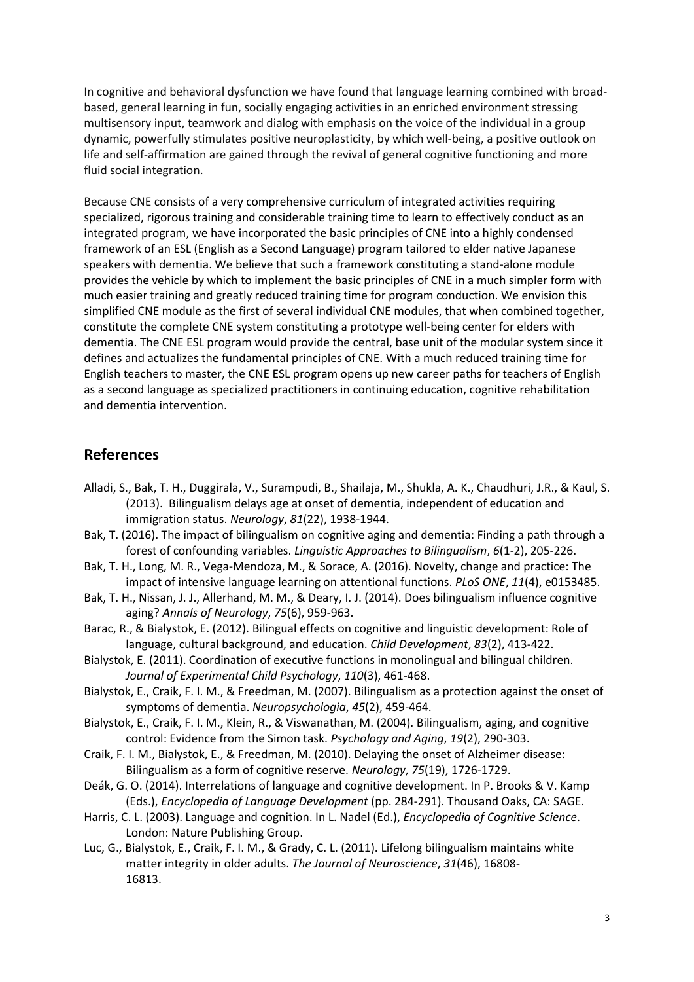In cognitive and behavioral dysfunction we have found that language learning combined with broadbased, general learning in fun, socially engaging activities in an enriched environment stressing multisensory input, teamwork and dialog with emphasis on the voice of the individual in a group dynamic, powerfully stimulates positive neuroplasticity, by which well-being, a positive outlook on life and self-affirmation are gained through the revival of general cognitive functioning and more fluid social integration.

Because CNE consists of a very comprehensive curriculum of integrated activities requiring specialized, rigorous training and considerable training time to learn to effectively conduct as an integrated program, we have incorporated the basic principles of CNE into a highly condensed framework of an ESL (English as a Second Language) program tailored to elder native Japanese speakers with dementia. We believe that such a framework constituting a stand-alone module provides the vehicle by which to implement the basic principles of CNE in a much simpler form with much easier training and greatly reduced training time for program conduction. We envision this simplified CNE module as the first of several individual CNE modules, that when combined together, constitute the complete CNE system constituting a prototype well-being center for elders with dementia. The CNE ESL program would provide the central, base unit of the modular system since it defines and actualizes the fundamental principles of CNE. With a much reduced training time for English teachers to master, the CNE ESL program opens up new career paths for teachers of English as a second language as specialized practitioners in continuing education, cognitive rehabilitation and dementia intervention.

## **References**

- Alladi, S., Bak, T. H., Duggirala, V., Surampudi, B., Shailaja, M., Shukla, A. K., Chaudhuri, J.R., & Kaul, S. (2013). Bilingualism delays age at onset of dementia, independent of education and immigration status. *Neurology*, *81*(22), 1938-1944.
- Bak, T. (2016). The impact of bilingualism on cognitive aging and dementia: Finding a path through a forest of confounding variables. *Linguistic Approaches to Bilingualism*, *6*(1-2), 205-226.
- Bak, T. H., Long, M. R., Vega-Mendoza, M., & Sorace, A. (2016). Novelty, change and practice: The impact of intensive language learning on attentional functions. *PLoS ONE*, *11*(4), e0153485.
- Bak, T. H., Nissan, J. J., Allerhand, M. M., & Deary, I. J. (2014). Does bilingualism influence cognitive aging? *Annals of Neurology*, *75*(6), 959-963.
- Barac, R., & Bialystok, E. (2012). Bilingual effects on cognitive and linguistic development: Role of language, cultural background, and education. *Child Development*, *83*(2), 413-422.
- Bialystok, E. (2011). Coordination of executive functions in monolingual and bilingual children. *Journal of Experimental Child Psychology*, *110*(3), 461-468.
- Bialystok, E., Craik, F. I. M., & Freedman, M. (2007). Bilingualism as a protection against the onset of symptoms of dementia. *Neuropsychologia*, *45*(2), 459-464.
- Bialystok, E., Craik, F. I. M., Klein, R., & Viswanathan, M. (2004). Bilingualism, aging, and cognitive control: Evidence from the Simon task. *Psychology and Aging*, *19*(2), 290-303.
- Craik, F. I. M., Bialystok, E., & Freedman, M. (2010). Delaying the onset of Alzheimer disease: Bilingualism as a form of cognitive reserve. *Neurology*, *75*(19), 1726-1729.
- Deák, G. O. (2014). Interrelations of language and cognitive development. In P. Brooks & V. Kamp (Eds.), *Encyclopedia of Language Development* (pp. 284-291). Thousand Oaks, CA: SAGE.
- Harris, C. L. (2003). Language and cognition. In L. Nadel (Ed.), *Encyclopedia of Cognitive Science*. London: Nature Publishing Group.
- Luc, G., Bialystok, E., Craik, F. I. M., & Grady, C. L. (2011). Lifelong bilingualism maintains white matter integrity in older adults. *The Journal of Neuroscience*, *31*(46), 16808- 16813.